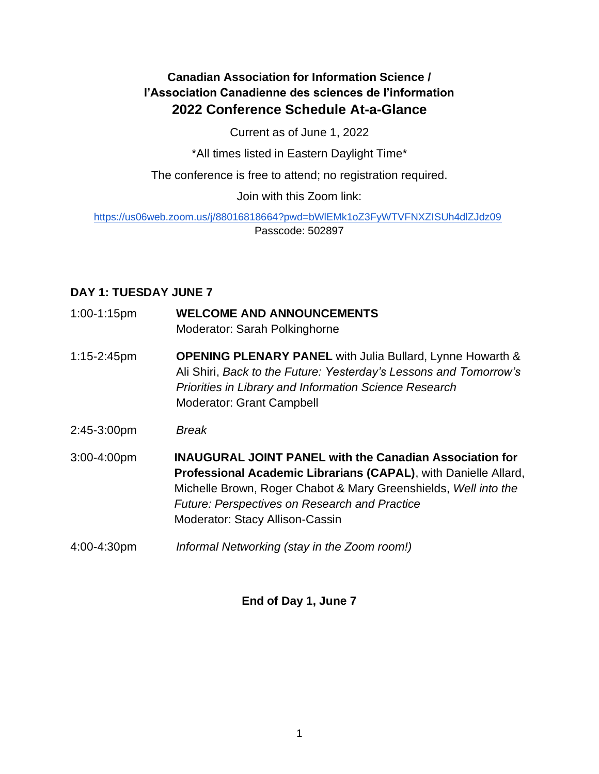# **Canadian Association for Information Science / l'Association Canadienne des sciences de l'information 2022 Conference Schedule At-a-Glance**

Current as of June 1, 2022

\*All times listed in Eastern Daylight Time\*

The conference is free to attend; no registration required.

## Join with this Zoom link:

<https://us06web.zoom.us/j/88016818664?pwd=bWlEMk1oZ3FyWTVFNXZISUh4dlZJdz09> Passcode: 502897

## **DAY 1: TUESDAY JUNE 7**

- 1:00-1:15pm **WELCOME AND ANNOUNCEMENTS** Moderator: Sarah Polkinghorne
- 1:15-2:45pm **OPENING PLENARY PANEL** with Julia Bullard, Lynne Howarth & Ali Shiri, *Back to the Future: Yesterday's Lessons and Tomorrow's Priorities in Library and Information Science Research*  Moderator: Grant Campbell
- 2:45-3:00pm *Break*
- 3:00-4:00pm **INAUGURAL JOINT PANEL with the Canadian Association for Professional Academic Librarians (CAPAL)**, with Danielle Allard, Michelle Brown, Roger Chabot & Mary Greenshields, *Well into the Future: Perspectives on Research and Practice* Moderator: Stacy Allison-Cassin
- 4:00-4:30pm *Informal Networking (stay in the Zoom room!)*

## **End of Day 1, June 7**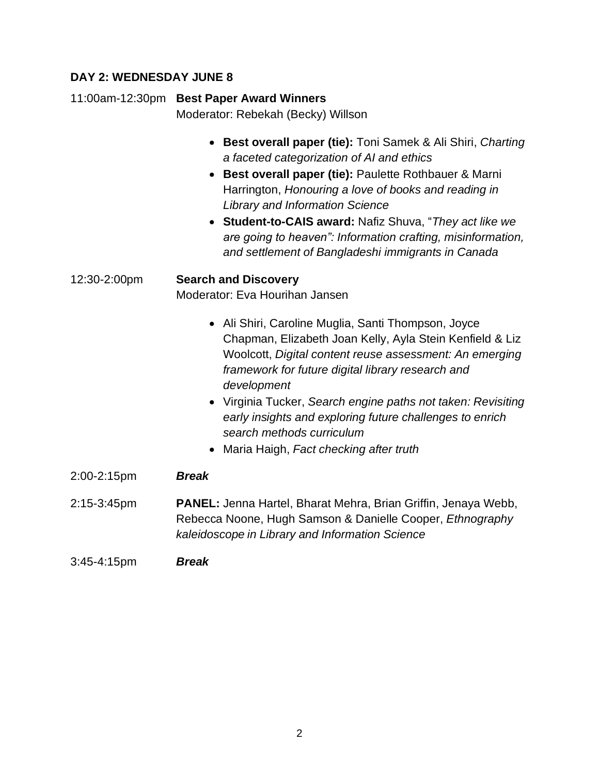## **DAY 2: WEDNESDAY JUNE 8**

## 11:00am-12:30pm **Best Paper Award Winners**

Moderator: Rebekah (Becky) Willson

- **Best overall paper (tie):** Toni Samek & Ali Shiri, *Charting a faceted categorization of AI and ethics*
- **Best overall paper (tie):** Paulette Rothbauer & Marni Harrington, *Honouring a love of books and reading in Library and Information Science*
- **Student-to-CAIS award:** Nafiz Shuva, "*They act like we are going to heaven": Information crafting, misinformation, and settlement of Bangladeshi immigrants in Canada*

# 12:30-2:00pm **Search and Discovery**

Moderator: Eva Hourihan Jansen

- Ali Shiri, Caroline Muglia, Santi Thompson, Joyce Chapman, Elizabeth Joan Kelly, Ayla Stein Kenfield & Liz Woolcott, *Digital content reuse assessment: An emerging framework for future digital library research and development*
	- Virginia Tucker, *Search engine paths not taken: Revisiting early insights and exploring future challenges to enrich search methods curriculum*
	- Maria Haigh, *Fact checking after truth*
- 2:00-2:15pm *Break*
- 2:15-3:45pm **PANEL:** Jenna Hartel, Bharat Mehra, Brian Griffin, Jenaya Webb, Rebecca Noone, Hugh Samson & Danielle Cooper, *Ethnography kaleidoscope in Library and Information Science*

#### 3:45-4:15pm *Break*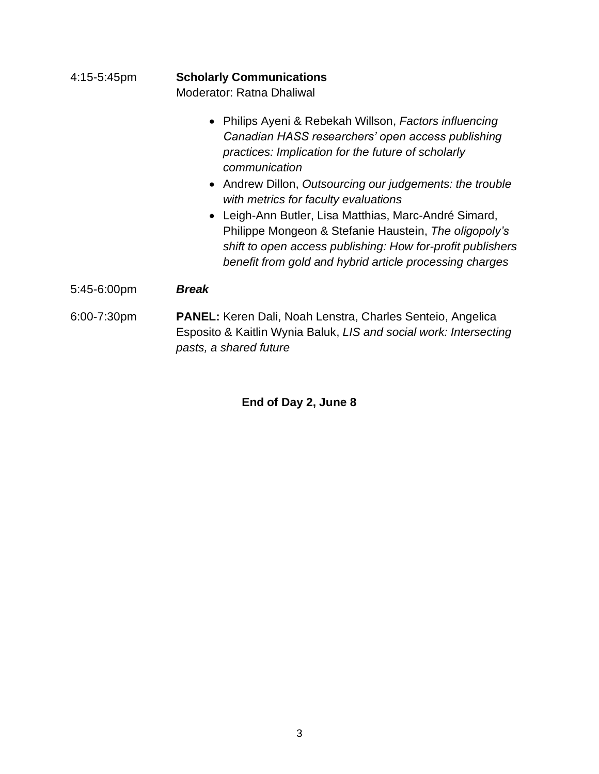#### 4:15-5:45pm **Scholarly Communications** Moderator: Ratna Dhaliwal

- Philips Ayeni & Rebekah Willson, *Factors influencing Canadian HASS researchers' open access publishing practices: Implication for the future of scholarly communication*
- Andrew Dillon, *Outsourcing our judgements: the trouble with metrics for faculty evaluations*
- Leigh-Ann Butler, Lisa Matthias, Marc-André Simard, Philippe Mongeon & Stefanie Haustein, *The oligopoly's shift to open access publishing: How for-profit publishers benefit from gold and hybrid article processing charges*
- 5:45-6:00pm *Break*
- 6:00-7:30pm **PANEL:** Keren Dali, Noah Lenstra, Charles Senteio, Angelica Esposito & Kaitlin Wynia Baluk, *LIS and social work: Intersecting pasts, a shared future*

# **End of Day 2, June 8**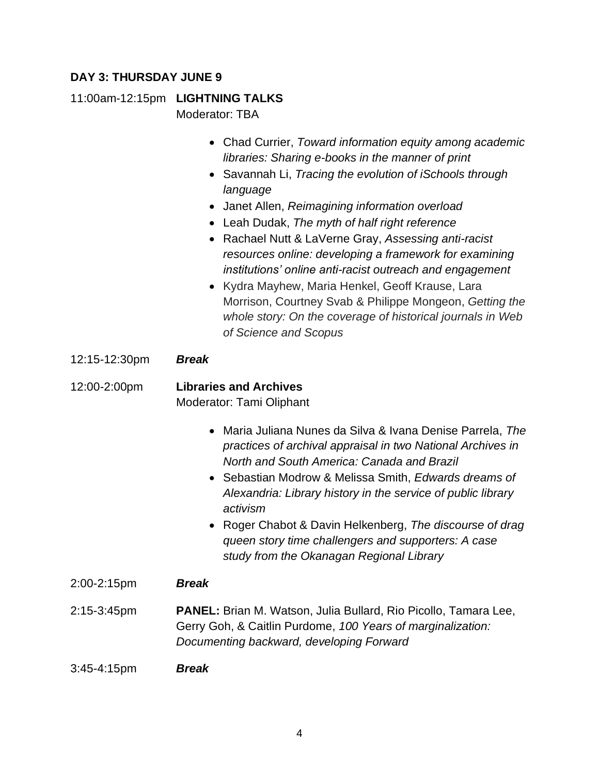## **DAY 3: THURSDAY JUNE 9**

11:00am-12:15pm **LIGHTNING TALKS** Moderator: TBA

- Chad Currier, *Toward information equity among academic libraries: Sharing e-books in the manner of print*
- Savannah Li, *Tracing the evolution of iSchools through language*
- Janet Allen, *Reimagining information overload*
- Leah Dudak, *The myth of half right reference*
- Rachael Nutt & LaVerne Gray, *Assessing anti-racist resources online: developing a framework for examining institutions' online anti-racist outreach and engagement*
- Kydra Mayhew, Maria Henkel, Geoff Krause, Lara Morrison, Courtney Svab & Philippe Mongeon, *Getting the whole story: On the coverage of historical journals in Web of Science and Scopus*
- 12:15-12:30pm *Break*

12:00-2:00pm **Libraries and Archives** Moderator: Tami Oliphant

- Maria Juliana Nunes da Silva & Ivana Denise Parrela, *The practices of archival appraisal in two National Archives in North and South America: Canada and Brazil*
- Sebastian Modrow & Melissa Smith, *Edwards dreams of Alexandria: Library history in the service of public library activism*
- Roger Chabot & Davin Helkenberg, *The discourse of drag queen story time challengers and supporters: A case study from the Okanagan Regional Library*
- 2:00-2:15pm *Break*
- 2:15-3:45pm **PANEL:** Brian M. Watson, Julia Bullard, Rio Picollo, Tamara Lee, Gerry Goh, & Caitlin Purdome, *100 Years of marginalization: Documenting backward, developing Forward*

3:45-4:15pm *Break*